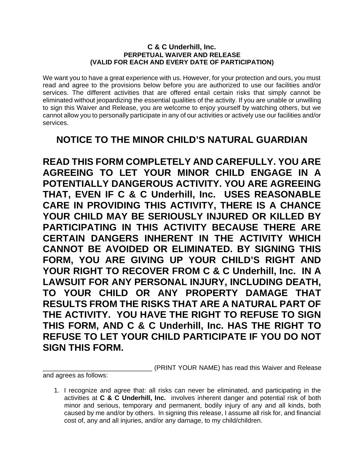## **C & C Underhill, Inc. PERPETUAL WAIVER AND RELEASE (VALID FOR EACH AND EVERY DATE OF PARTICIPATION)**

We want you to have a great experience with us. However, for your protection and ours, you must read and agree to the provisions below before you are authorized to use our facilities and/or services. The different activities that are offered entail certain risks that simply cannot be eliminated without jeopardizing the essential qualities of the activity. If you are unable or unwilling to sign this Waiver and Release, you are welcome to enjoy yourself by watching others, but we cannot allow you to personally participate in any of our activities or actively use our facilities and/or services.

## **NOTICE TO THE MINOR CHILD'S NATURAL GUARDIAN**

**READ THIS FORM COMPLETELY AND CAREFULLY. YOU ARE AGREEING TO LET YOUR MINOR CHILD ENGAGE IN A POTENTIALLY DANGEROUS ACTIVITY. YOU ARE AGREEING THAT, EVEN IF C & C Underhill, Inc. USES REASONABLE CARE IN PROVIDING THIS ACTIVITY, THERE IS A CHANCE YOUR CHILD MAY BE SERIOUSLY INJURED OR KILLED BY PARTICIPATING IN THIS ACTIVITY BECAUSE THERE ARE CERTAIN DANGERS INHERENT IN THE ACTIVITY WHICH CANNOT BE AVOIDED OR ELIMINATED. BY SIGNING THIS FORM, YOU ARE GIVING UP YOUR CHILD'S RIGHT AND YOUR RIGHT TO RECOVER FROM C & C Underhill, Inc. IN A LAWSUIT FOR ANY PERSONAL INJURY, INCLUDING DEATH, TO YOUR CHILD OR ANY PROPERTY DAMAGE THAT RESULTS FROM THE RISKS THAT ARE A NATURAL PART OF THE ACTIVITY. YOU HAVE THE RIGHT TO REFUSE TO SIGN THIS FORM, AND C & C Underhill, Inc. HAS THE RIGHT TO REFUSE TO LET YOUR CHILD PARTICIPATE IF YOU DO NOT SIGN THIS FORM.** 

(PRINT YOUR NAME) has read this Waiver and Release

and agrees as follows:

1. I recognize and agree that: all risks can never be eliminated, and participating in the activities at **C & C Underhill, Inc.** involves inherent danger and potential risk of both minor and serious, temporary and permanent, bodily injury of any and all kinds, both caused by me and/or by others. In signing this release, I assume all risk for, and financial cost of, any and all injuries, and/or any damage, to my child/children.